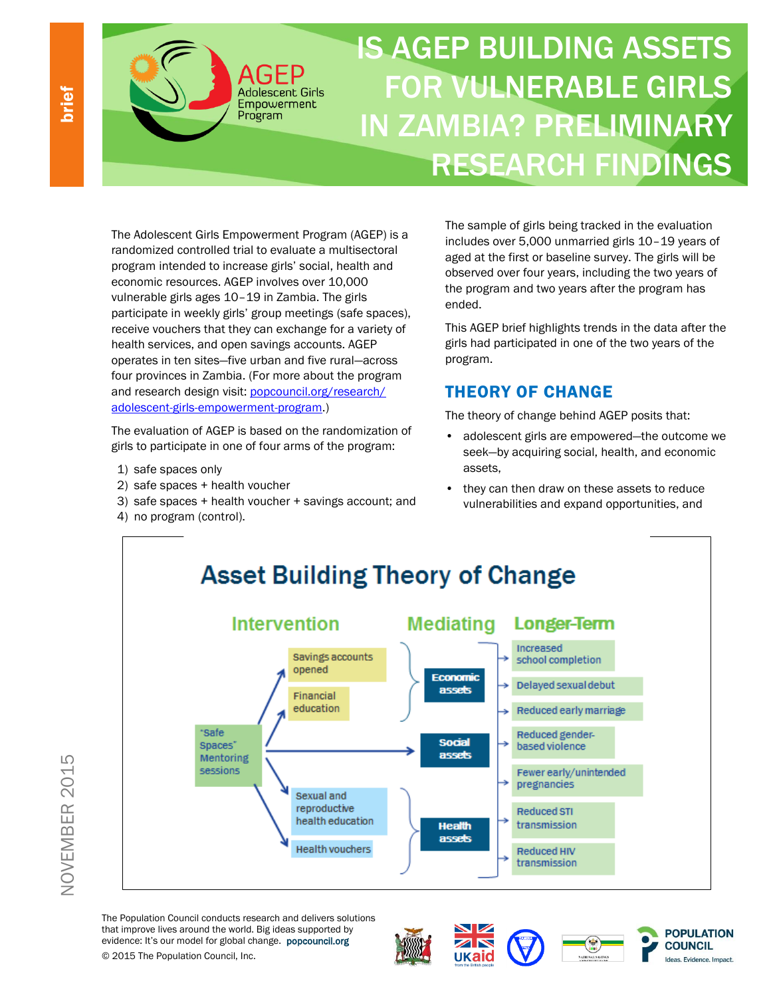IS AGEP BUILDING ASSETS FOR VULNERABLE GIRLS IN ZAMBIA? PRELIMINARY RESEARCH FINDINGS

The Adolescent Girls Empowerment Program (AGEP) is a randomized controlled trial to evaluate a multisectoral program intended to increase girls' social, health and economic resources. AGEP involves over 10,000 vulnerable girls ages 10–19 in Zambia. The girls participate in weekly girls' group meetings (safe spaces), receive vouchers that they can exchange for a variety of health services, and open savings accounts. AGEP operates in ten sites—five urban and five rural—across four provinces in Zambia. (For more about the program and research design visit[: popcouncil.org/research/](http://www.popcouncil.org/research/adolescent-girls-empowerment-program) [adolescent-girls-empowerment-program.](http://www.popcouncil.org/research/adolescent-girls-empowerment-program))

**Adolescent Girls** Empowerment Program

The evaluation of AGEP is based on the randomization of girls to participate in one of four arms of the program:

- 1) safe spaces only
- 2) safe spaces + health voucher
- 3) safe spaces + health voucher + savings account; and
- 4) no program (control).

The sample of girls being tracked in the evaluation includes over 5,000 unmarried girls 10–19 years of aged at the first or baseline survey. The girls will be observed over four years, including the two years of the program and two years after the program has ended.

This AGEP brief highlights trends in the data after the girls had participated in one of the two years of the program.

# THEORY OF CHANGE

The theory of change behind AGEP posits that:

- adolescent girls are empowered—the outcome we seek—by acquiring social, health, and economic assets,
- they can then draw on these assets to reduce vulnerabilities and expand opportunities, and



The Population Council conducts research and delivers solutions that improve lives around the world. Big ideas supported by evidence: It's our model for global change. popcouncil.org